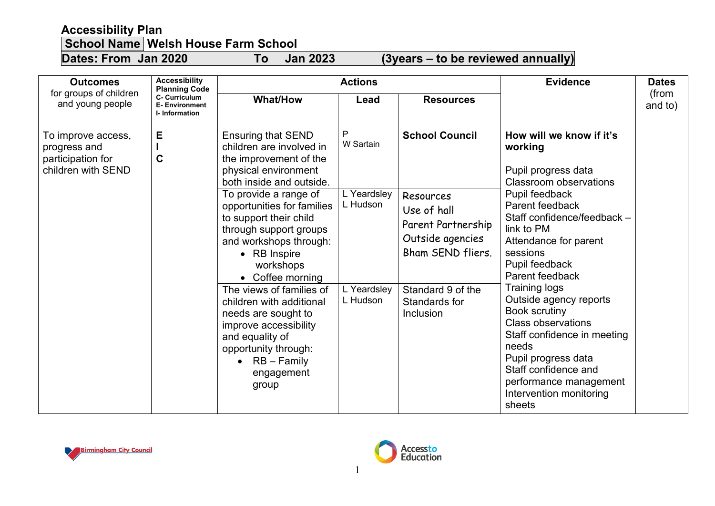## **Accessibility Plan**

## **School Name Welsh House Farm School**

**Dates: From Jan 2020 To Jan 2023 (3years – to be reviewed annually)**

| <b>Outcomes</b><br>for groups of children<br>and young people                 | <b>Accessibility</b><br><b>Planning Code</b><br>C- Curriculum<br><b>E</b> - Environment<br>I-Information | <b>Actions</b>                                                                                                                                                                                                                                                                                                                                                                                                                                                                                                         |                                                                      |                                                                                                                                                                     | <b>Evidence</b>                                                                                                                                                                                                                                                                                                                                                                                                                                                                                                      | <b>Dates</b>     |
|-------------------------------------------------------------------------------|----------------------------------------------------------------------------------------------------------|------------------------------------------------------------------------------------------------------------------------------------------------------------------------------------------------------------------------------------------------------------------------------------------------------------------------------------------------------------------------------------------------------------------------------------------------------------------------------------------------------------------------|----------------------------------------------------------------------|---------------------------------------------------------------------------------------------------------------------------------------------------------------------|----------------------------------------------------------------------------------------------------------------------------------------------------------------------------------------------------------------------------------------------------------------------------------------------------------------------------------------------------------------------------------------------------------------------------------------------------------------------------------------------------------------------|------------------|
|                                                                               |                                                                                                          | <b>What/How</b>                                                                                                                                                                                                                                                                                                                                                                                                                                                                                                        | Lead                                                                 | <b>Resources</b>                                                                                                                                                    |                                                                                                                                                                                                                                                                                                                                                                                                                                                                                                                      | (from<br>and to) |
| To improve access,<br>progress and<br>participation for<br>children with SEND | E<br>$\mathbf C$                                                                                         | <b>Ensuring that SEND</b><br>children are involved in<br>the improvement of the<br>physical environment<br>both inside and outside.<br>To provide a range of<br>opportunities for families<br>to support their child<br>through support groups<br>and workshops through:<br>• RB Inspire<br>workshops<br>• Coffee morning<br>The views of families of<br>children with additional<br>needs are sought to<br>improve accessibility<br>and equality of<br>opportunity through:<br>• $RB - Family$<br>engagement<br>group | P<br>W Sartain<br>L Yeardsley<br>L Hudson<br>L Yeardsley<br>L Hudson | <b>School Council</b><br>Resources<br>Use of hall<br>Parent Partnership<br>Outside agencies<br>Bham SEND fliers.<br>Standard 9 of the<br>Standards for<br>Inclusion | How will we know if it's<br>working<br>Pupil progress data<br><b>Classroom observations</b><br>Pupil feedback<br>Parent feedback<br>Staff confidence/feedback -<br>link to PM<br>Attendance for parent<br>sessions<br>Pupil feedback<br>Parent feedback<br><b>Training logs</b><br>Outside agency reports<br><b>Book scrutiny</b><br><b>Class observations</b><br>Staff confidence in meeting<br>needs<br>Pupil progress data<br>Staff confidence and<br>performance management<br>Intervention monitoring<br>sheets |                  |



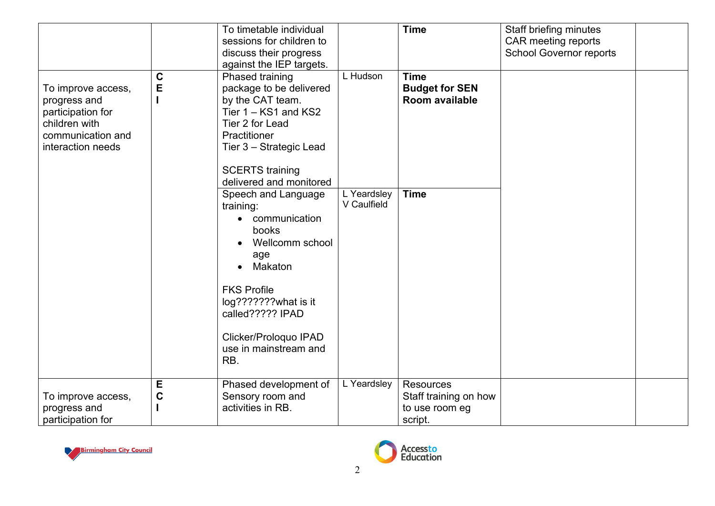|                                                                                                                    |                  | To timetable individual<br>sessions for children to<br>discuss their progress                                                                                                                                                                        |                                           | <b>Time</b>                                            | Staff briefing minutes<br>CAR meeting reports<br><b>School Governor reports</b> |
|--------------------------------------------------------------------------------------------------------------------|------------------|------------------------------------------------------------------------------------------------------------------------------------------------------------------------------------------------------------------------------------------------------|-------------------------------------------|--------------------------------------------------------|---------------------------------------------------------------------------------|
|                                                                                                                    |                  | against the IEP targets.                                                                                                                                                                                                                             | L Hudson                                  |                                                        |                                                                                 |
| To improve access,<br>progress and<br>participation for<br>children with<br>communication and<br>interaction needs | C<br>E           | Phased training<br>package to be delivered<br>by the CAT team.<br>Tier 1 - KS1 and KS2<br>Tier 2 for Lead<br>Practitioner<br>Tier 3 - Strategic Lead<br><b>SCERTS</b> training                                                                       |                                           | <b>Time</b><br><b>Budget for SEN</b><br>Room available |                                                                                 |
|                                                                                                                    |                  | delivered and monitored                                                                                                                                                                                                                              |                                           |                                                        |                                                                                 |
|                                                                                                                    |                  | Speech and Language<br>training:<br>communication<br>$\bullet$<br>books<br>Wellcomm school<br>age<br>Makaton<br>$\bullet$<br><b>FKS Profile</b><br>log???????what is it<br>called????? IPAD<br>Clicker/Proloquo IPAD<br>use in mainstream and<br>RB. | L Yeardsley<br>V Caulfield<br>L Yeardsley | <b>Time</b>                                            |                                                                                 |
| To improve access,                                                                                                 | E<br>$\mathbf C$ | Phased development of<br>Sensory room and                                                                                                                                                                                                            |                                           | Resources<br>Staff training on how                     |                                                                                 |
| progress and                                                                                                       |                  | activities in RB.                                                                                                                                                                                                                                    |                                           | to use room eg                                         |                                                                                 |
| participation for                                                                                                  |                  |                                                                                                                                                                                                                                                      |                                           | script.                                                |                                                                                 |



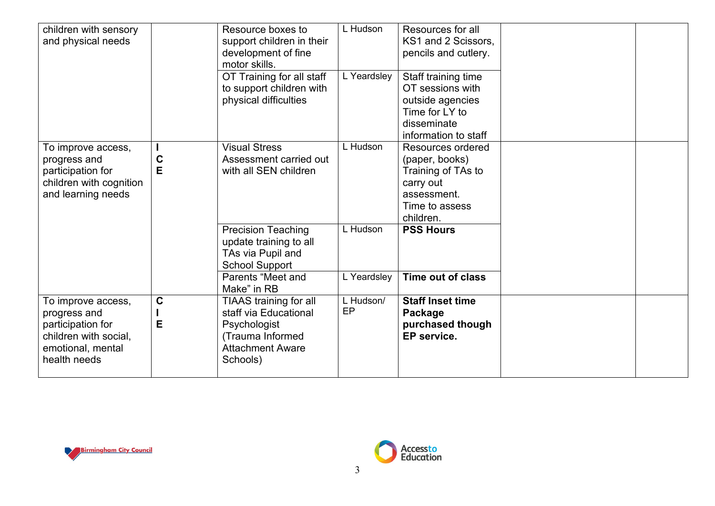| children with sensory<br>and physical needs                                                              |                  | Resource boxes to<br>support children in their<br>development of fine<br>motor skills.<br>OT Training for all staff<br>to support children with | L Hudson<br>L Yeardsley | Resources for all<br>KS1 and 2 Scissors,<br>pencils and cutlery.<br>Staff training time<br>OT sessions with          |  |
|----------------------------------------------------------------------------------------------------------|------------------|-------------------------------------------------------------------------------------------------------------------------------------------------|-------------------------|----------------------------------------------------------------------------------------------------------------------|--|
|                                                                                                          |                  | physical difficulties                                                                                                                           |                         | outside agencies<br>Time for LY to<br>disseminate<br>information to staff                                            |  |
| To improve access,<br>progress and<br>participation for<br>children with cognition<br>and learning needs | C<br>E           | <b>Visual Stress</b><br>Assessment carried out<br>with all SEN children                                                                         | L Hudson                | Resources ordered<br>(paper, books)<br>Training of TAs to<br>carry out<br>assessment.<br>Time to assess<br>children. |  |
|                                                                                                          |                  | <b>Precision Teaching</b><br>update training to all<br>TAs via Pupil and<br><b>School Support</b><br>Parents "Meet and                          | L Hudson<br>L Yeardsley | <b>PSS Hours</b><br>Time out of class                                                                                |  |
| To improve access,<br>progress and<br>participation for<br>children with social,                         | $\mathbf C$<br>E | Make" in RB<br>TIAAS training for all<br>staff via Educational<br>Psychologist<br>(Trauma Informed                                              | L Hudson/<br>EP         | <b>Staff Inset time</b><br>Package<br>purchased though<br>EP service.                                                |  |
| emotional, mental<br>health needs                                                                        |                  | <b>Attachment Aware</b><br>Schools)                                                                                                             |                         |                                                                                                                      |  |